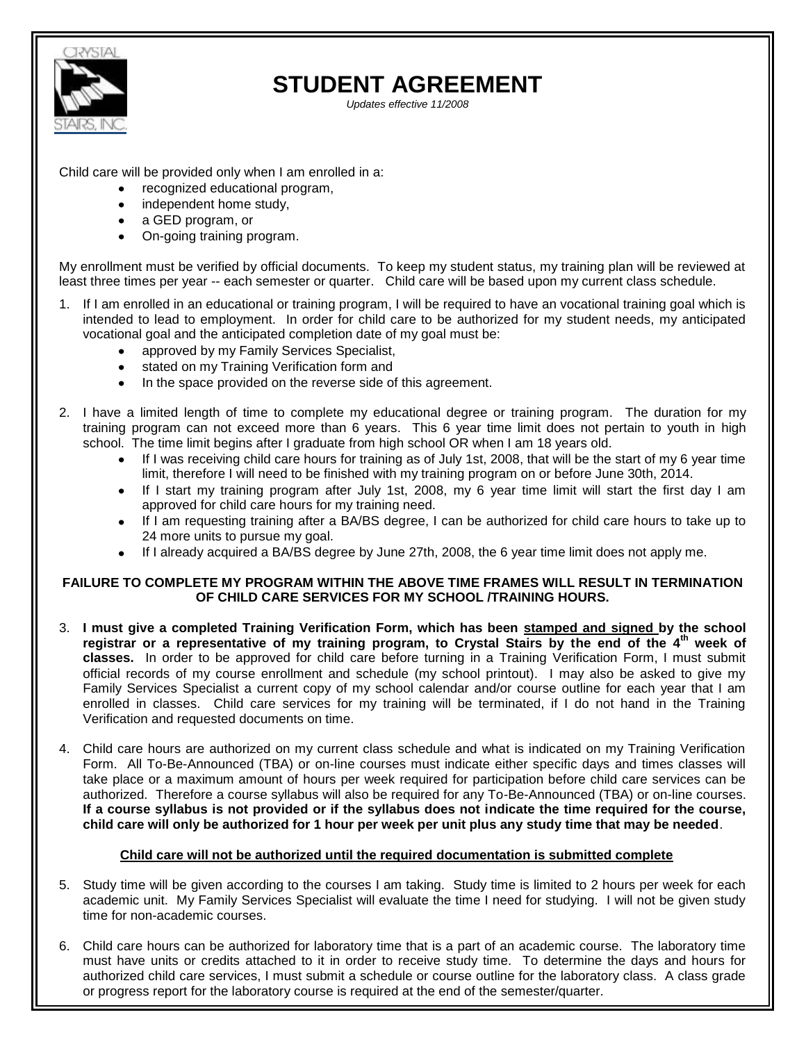

# **STUDENT AGREEMENT**

*Updates effective 11/2008*

Child care will be provided only when I am enrolled in a:

- recognized educational program,
- independent home study,
- a GED program, or
- On-going training program.

My enrollment must be verified by official documents. To keep my student status, my training plan will be reviewed at least three times per year -- each semester or quarter. Child care will be based upon my current class schedule.

- 1. If I am enrolled in an educational or training program, I will be required to have an vocational training goal which is intended to lead to employment. In order for child care to be authorized for my student needs, my anticipated vocational goal and the anticipated completion date of my goal must be:
	- approved by my Family Services Specialist,
	- stated on my Training Verification form and
	- In the space provided on the reverse side of this agreement.
- 2. I have a limited length of time to complete my educational degree or training program. The duration for my training program can not exceed more than 6 years. This 6 year time limit does not pertain to youth in high school. The time limit begins after I graduate from high school OR when I am 18 years old.
	- If I was receiving child care hours for training as of July 1st, 2008, that will be the start of my 6 year time limit, therefore I will need to be finished with my training program on or before June 30th, 2014.
	- If I start my training program after July 1st, 2008, my 6 year time limit will start the first day I am approved for child care hours for my training need.
	- If I am requesting training after a BA/BS degree, I can be authorized for child care hours to take up to 24 more units to pursue my goal.
	- If I already acquired a BA/BS degree by June 27th, 2008, the 6 year time limit does not apply me.

### **FAILURE TO COMPLETE MY PROGRAM WITHIN THE ABOVE TIME FRAMES WILL RESULT IN TERMINATION OF CHILD CARE SERVICES FOR MY SCHOOL /TRAINING HOURS.**

- 3. **I must give a completed Training Verification Form, which has been stamped and signed by the school registrar or a representative of my training program, to Crystal Stairs by the end of the 4th week of classes.** In order to be approved for child care before turning in a Training Verification Form, I must submit official records of my course enrollment and schedule (my school printout). I may also be asked to give my Family Services Specialist a current copy of my school calendar and/or course outline for each year that I am enrolled in classes. Child care services for my training will be terminated, if I do not hand in the Training Verification and requested documents on time.
- 4. Child care hours are authorized on my current class schedule and what is indicated on my Training Verification Form. All To-Be-Announced (TBA) or on-line courses must indicate either specific days and times classes will take place or a maximum amount of hours per week required for participation before child care services can be authorized. Therefore a course syllabus will also be required for any To-Be-Announced (TBA) or on-line courses. **If a course syllabus is not provided or if the syllabus does not indicate the time required for the course, child care will only be authorized for 1 hour per week per unit plus any study time that may be needed**.

## **Child care will not be authorized until the required documentation is submitted complete**

- 5. Study time will be given according to the courses I am taking. Study time is limited to 2 hours per week for each academic unit. My Family Services Specialist will evaluate the time I need for studying. I will not be given study time for non-academic courses.
- 6. Child care hours can be authorized for laboratory time that is a part of an academic course. The laboratory time must have units or credits attached to it in order to receive study time. To determine the days and hours for authorized child care services, I must submit a schedule or course outline for the laboratory class. A class grade or progress report for the laboratory course is required at the end of the semester/quarter.